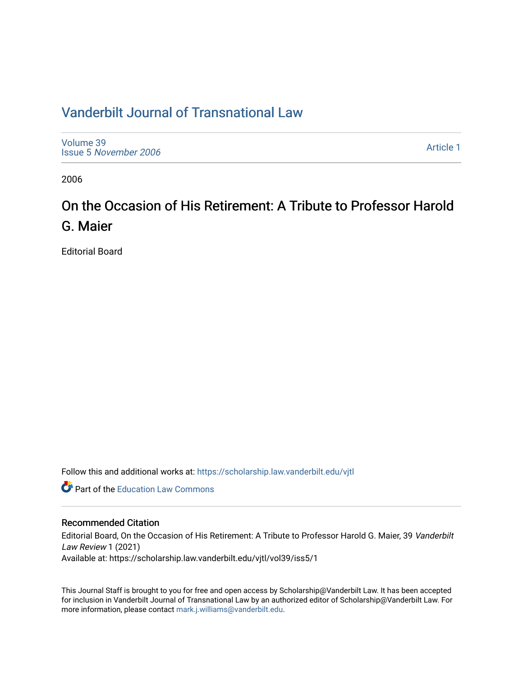# [Vanderbilt Journal of Transnational Law](https://scholarship.law.vanderbilt.edu/vjtl)

[Volume 39](https://scholarship.law.vanderbilt.edu/vjtl/vol39) Issue 5 [November 2006](https://scholarship.law.vanderbilt.edu/vjtl/vol39/iss5) 

[Article 1](https://scholarship.law.vanderbilt.edu/vjtl/vol39/iss5/1) 

2006

# On the Occasion of His Retirement: A Tribute to Professor Harold G. Maier

Editorial Board

Follow this and additional works at: [https://scholarship.law.vanderbilt.edu/vjtl](https://scholarship.law.vanderbilt.edu/vjtl?utm_source=scholarship.law.vanderbilt.edu%2Fvjtl%2Fvol39%2Fiss5%2F1&utm_medium=PDF&utm_campaign=PDFCoverPages) 

**C** Part of the Education Law Commons

### Recommended Citation

Editorial Board, On the Occasion of His Retirement: A Tribute to Professor Harold G. Maier, 39 Vanderbilt Law Review 1 (2021) Available at: https://scholarship.law.vanderbilt.edu/vjtl/vol39/iss5/1

This Journal Staff is brought to you for free and open access by Scholarship@Vanderbilt Law. It has been accepted for inclusion in Vanderbilt Journal of Transnational Law by an authorized editor of Scholarship@Vanderbilt Law. For more information, please contact [mark.j.williams@vanderbilt.edu](mailto:mark.j.williams@vanderbilt.edu).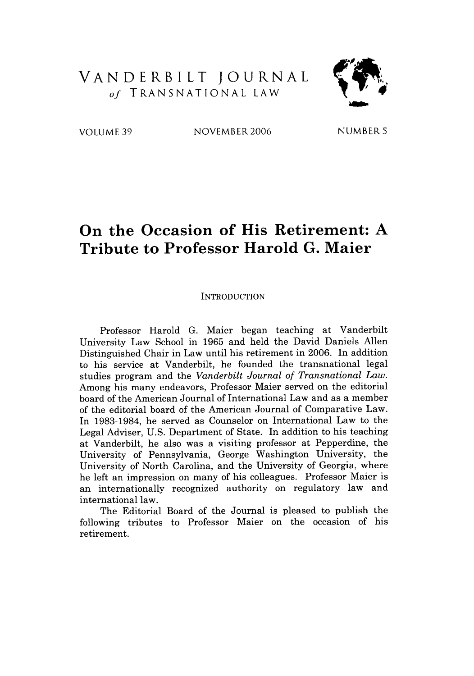### VANDERBILT JOURNAL *of* TRANSNATIONAL LAW



VOLUME 39 NOVEMBER 2006 NUMBER 5

## **On the Occasion of His Retirement: A Tribute to Professor Harold G. Maier**

#### **INTRODUCTION**

Professor Harold **G.** Maier began teaching at Vanderbilt University Law School in **1965** and held the David Daniels Allen Distinguished Chair in Law until his retirement in **2006.** In addition to his service at Vanderbilt, he founded the transnational legal studies program and the *Vanderbilt Journal of Transnational Law.* Among his many endeavors, Professor Maier served on the editorial board of the American Journal of International Law and as a member of the editorial board of the American Journal of Comparative Law. In **1983-1984,** he served as Counselor on International Law to the Legal Adviser, **U.S.** Department of State. In addition to his teaching at Vanderbilt, he also was a visiting professor at Pepperdine, the University of Pennsylvania, George Washington University, the University of North Carolina, and the University of Georgia, where he left an impression on many of his colleagues. Professor Maier is an internationally recognized authority on regulatory law and international law.

The Editorial Board of the Journal is pleased to publish the following tributes to Professor Maier on the occasion of his retirement.